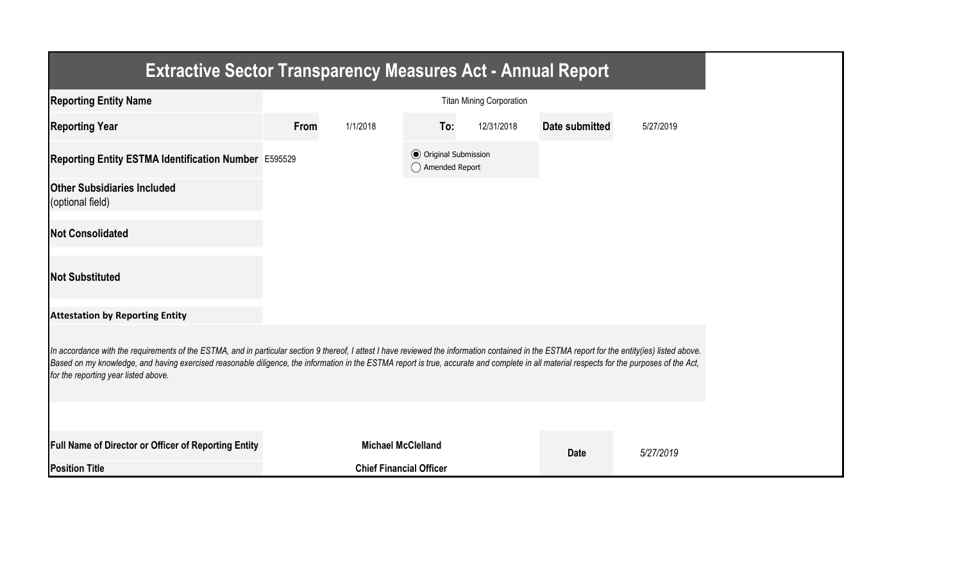| <b>Extractive Sector Transparency Measures Act - Annual Report</b>                                                                                                                                                                                                                                                                                                                                                                    |      |                                |                                                  |                                 |                |           |
|---------------------------------------------------------------------------------------------------------------------------------------------------------------------------------------------------------------------------------------------------------------------------------------------------------------------------------------------------------------------------------------------------------------------------------------|------|--------------------------------|--------------------------------------------------|---------------------------------|----------------|-----------|
| <b>Reporting Entity Name</b>                                                                                                                                                                                                                                                                                                                                                                                                          |      |                                |                                                  | <b>Titan Mining Corporation</b> |                |           |
| <b>Reporting Year</b>                                                                                                                                                                                                                                                                                                                                                                                                                 | From | 1/1/2018                       | To:                                              | 12/31/2018                      | Date submitted | 5/27/2019 |
| Reporting Entity ESTMA Identification Number E595529                                                                                                                                                                                                                                                                                                                                                                                  |      |                                | <b>◎</b> Original Submission<br>◯ Amended Report |                                 |                |           |
| <b>Other Subsidiaries Included</b><br>(optional field)                                                                                                                                                                                                                                                                                                                                                                                |      |                                |                                                  |                                 |                |           |
| <b>Not Consolidated</b>                                                                                                                                                                                                                                                                                                                                                                                                               |      |                                |                                                  |                                 |                |           |
| <b>Not Substituted</b>                                                                                                                                                                                                                                                                                                                                                                                                                |      |                                |                                                  |                                 |                |           |
| <b>Attestation by Reporting Entity</b>                                                                                                                                                                                                                                                                                                                                                                                                |      |                                |                                                  |                                 |                |           |
| In accordance with the requirements of the ESTMA, and in particular section 9 thereof, I attest I have reviewed the information contained in the ESTMA report for the entity(ies) listed above.<br>Based on my knowledge, and having exercised reasonable diligence, the information in the ESTMA report is true, accurate and complete in all material respects for the purposes of the Act,<br>for the reporting year listed above. |      |                                |                                                  |                                 |                |           |
|                                                                                                                                                                                                                                                                                                                                                                                                                                       |      |                                |                                                  |                                 |                |           |
| <b>Full Name of Director or Officer of Reporting Entity</b>                                                                                                                                                                                                                                                                                                                                                                           |      | <b>Michael McClelland</b>      |                                                  |                                 | <b>Date</b>    | 5/27/2019 |
| <b>Position Title</b>                                                                                                                                                                                                                                                                                                                                                                                                                 |      | <b>Chief Financial Officer</b> |                                                  |                                 |                |           |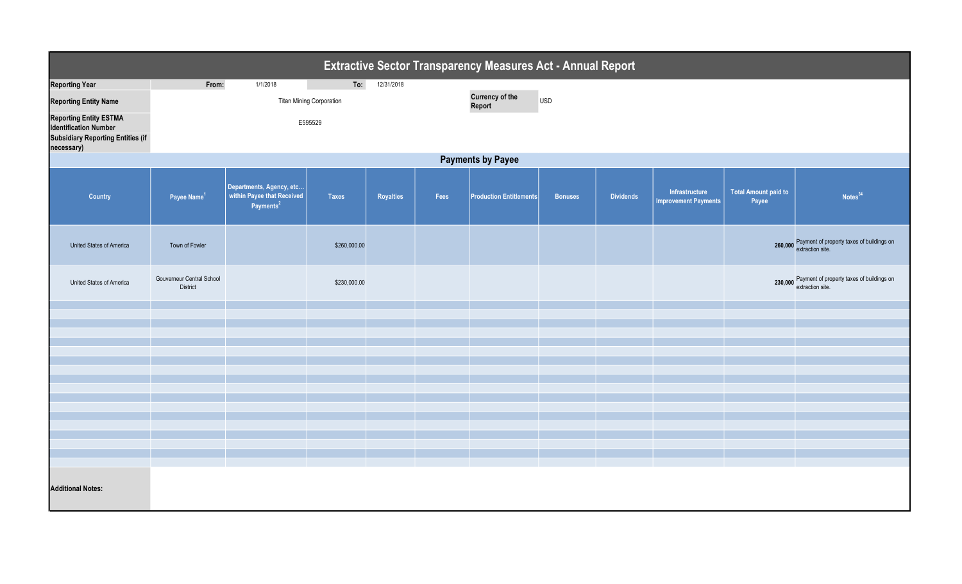| <b>Extractive Sector Transparency Measures Act - Annual Report</b>                                                      |                                              |                                                                                 |              |            |      |                                                |                |                  |                                               |                                      |                                                                       |  |
|-------------------------------------------------------------------------------------------------------------------------|----------------------------------------------|---------------------------------------------------------------------------------|--------------|------------|------|------------------------------------------------|----------------|------------------|-----------------------------------------------|--------------------------------------|-----------------------------------------------------------------------|--|
| <b>Reporting Year</b>                                                                                                   | From:                                        | 1/1/2018                                                                        | To:          | 12/31/2018 |      |                                                |                |                  |                                               |                                      |                                                                       |  |
| <b>Reporting Entity Name</b>                                                                                            | <b>Titan Mining Corporation</b>              |                                                                                 |              |            |      | <b>Currency of the</b><br><b>USD</b><br>Report |                |                  |                                               |                                      |                                                                       |  |
| <b>Reporting Entity ESTMA</b><br><b>Identification Number</b><br><b>Subsidiary Reporting Entities (if</b><br>necessary) | E595529                                      |                                                                                 |              |            |      |                                                |                |                  |                                               |                                      |                                                                       |  |
| <b>Payments by Payee</b>                                                                                                |                                              |                                                                                 |              |            |      |                                                |                |                  |                                               |                                      |                                                                       |  |
| <b>Country</b>                                                                                                          | Payee Name <sup>1</sup>                      | Departments, Agency, etc<br>within Payee that Received<br>Payments <sup>2</sup> | <b>Taxes</b> | Royalties  | Fees | <b>Production Entitlements</b>                 | <b>Bonuses</b> | <b>Dividends</b> | Infrastructure<br><b>Improvement Payments</b> | <b>Total Amount paid to</b><br>Payee | Notes <sup>34</sup>                                                   |  |
| United States of America                                                                                                | Town of Fowler                               |                                                                                 | \$260,000.00 |            |      |                                                |                |                  |                                               |                                      | 260,000 Payment of property taxes of buildings on<br>extraction site. |  |
| United States of America                                                                                                | Gouverneur Central School<br><b>District</b> |                                                                                 | \$230,000.00 |            |      |                                                |                |                  |                                               |                                      | 230,000 Payment of property taxes of buildings on<br>extraction site. |  |
|                                                                                                                         |                                              |                                                                                 |              |            |      |                                                |                |                  |                                               |                                      |                                                                       |  |
|                                                                                                                         |                                              |                                                                                 |              |            |      |                                                |                |                  |                                               |                                      |                                                                       |  |
|                                                                                                                         |                                              |                                                                                 |              |            |      |                                                |                |                  |                                               |                                      |                                                                       |  |
|                                                                                                                         |                                              |                                                                                 |              |            |      |                                                |                |                  |                                               |                                      |                                                                       |  |
|                                                                                                                         |                                              |                                                                                 |              |            |      |                                                |                |                  |                                               |                                      |                                                                       |  |
|                                                                                                                         |                                              |                                                                                 |              |            |      |                                                |                |                  |                                               |                                      |                                                                       |  |
|                                                                                                                         |                                              |                                                                                 |              |            |      |                                                |                |                  |                                               |                                      |                                                                       |  |
|                                                                                                                         |                                              |                                                                                 |              |            |      |                                                |                |                  |                                               |                                      |                                                                       |  |
|                                                                                                                         |                                              |                                                                                 |              |            |      |                                                |                |                  |                                               |                                      |                                                                       |  |
|                                                                                                                         |                                              |                                                                                 |              |            |      |                                                |                |                  |                                               |                                      |                                                                       |  |
|                                                                                                                         |                                              |                                                                                 |              |            |      |                                                |                |                  |                                               |                                      |                                                                       |  |
|                                                                                                                         |                                              |                                                                                 |              |            |      |                                                |                |                  |                                               |                                      |                                                                       |  |
| <b>Additional Notes:</b>                                                                                                |                                              |                                                                                 |              |            |      |                                                |                |                  |                                               |                                      |                                                                       |  |